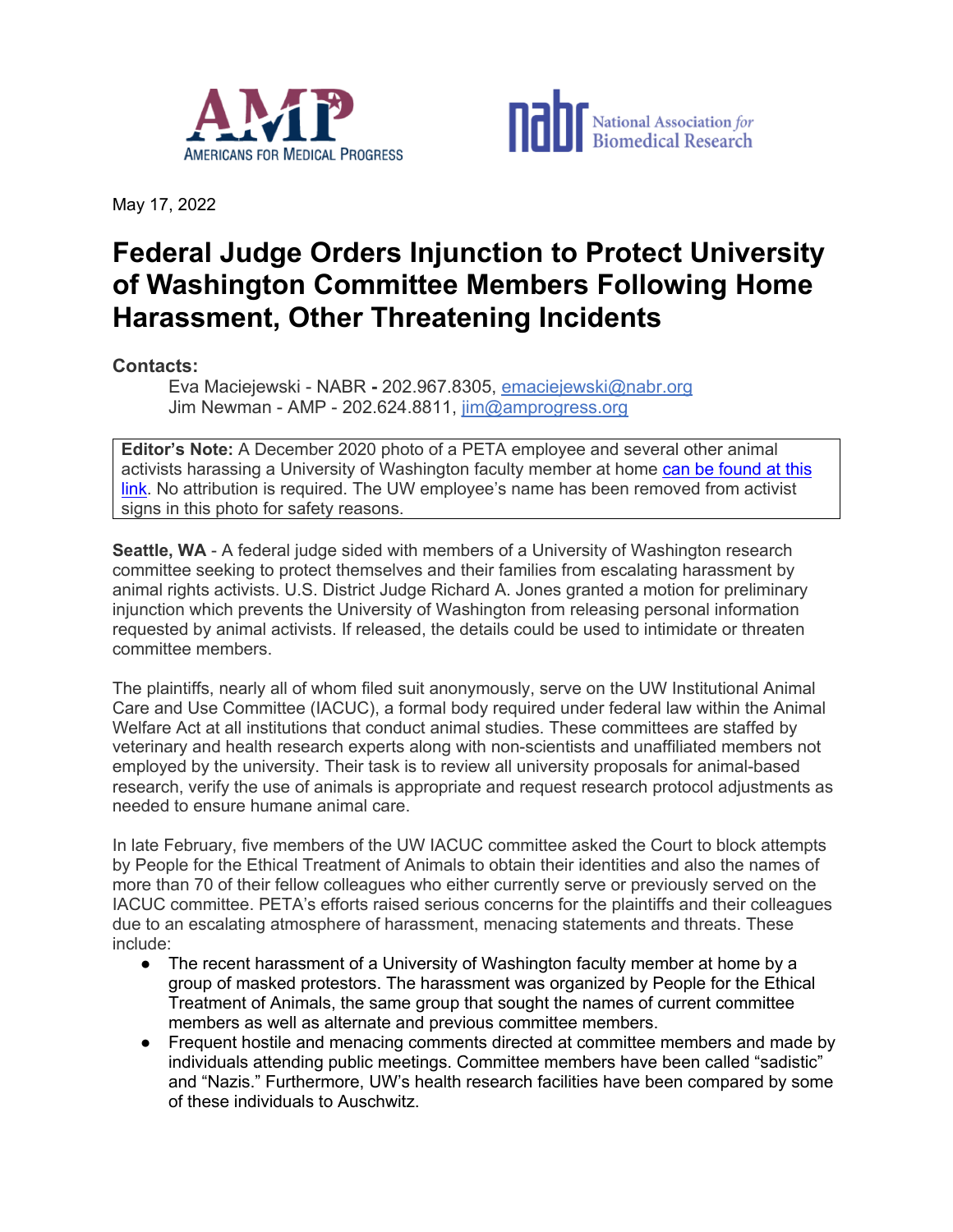



May 17, 2022

## **Federal Judge Orders Injunction to Protect University of Washington Committee Members Following Home Harassment, Other Threatening Incidents**

## **Contacts:**

Eva Maciejewski - NABR **-** 202.967.8305, emaciejewski@nabr.org Jim Newman - AMP - 202.624.8811,  $\lim_{\omega \to 0}$  amprogress.org

**Editor's Note:** A December 2020 photo of a PETA employee and several other animal activists harassing a University of Washington faculty member at home can be found at this link. No attribution is required. The UW employee's name has been removed from activist signs in this photo for safety reasons.

**Seattle, WA** - A federal judge sided with members of a University of Washington research committee seeking to protect themselves and their families from escalating harassment by animal rights activists. U.S. District Judge Richard A. Jones granted a motion for preliminary injunction which prevents the University of Washington from releasing personal information requested by animal activists. If released, the details could be used to intimidate or threaten committee members.

The plaintiffs, nearly all of whom filed suit anonymously, serve on the UW Institutional Animal Care and Use Committee (IACUC), a formal body required under federal law within the Animal Welfare Act at all institutions that conduct animal studies. These committees are staffed by veterinary and health research experts along with non-scientists and unaffiliated members not employed by the university. Their task is to review all university proposals for animal-based research, verify the use of animals is appropriate and request research protocol adjustments as needed to ensure humane animal care.

In late February, five members of the UW IACUC committee asked the Court to block attempts by People for the Ethical Treatment of Animals to obtain their identities and also the names of more than 70 of their fellow colleagues who either currently serve or previously served on the IACUC committee. PETA's efforts raised serious concerns for the plaintiffs and their colleagues due to an escalating atmosphere of harassment, menacing statements and threats. These include:

- The recent harassment of a University of Washington faculty member at home by a group of masked protestors. The harassment was organized by People for the Ethical Treatment of Animals, the same group that sought the names of current committee members as well as alternate and previous committee members.
- Frequent hostile and menacing comments directed at committee members and made by individuals attending public meetings. Committee members have been called "sadistic" and "Nazis." Furthermore, UW's health research facilities have been compared by some of these individuals to Auschwitz.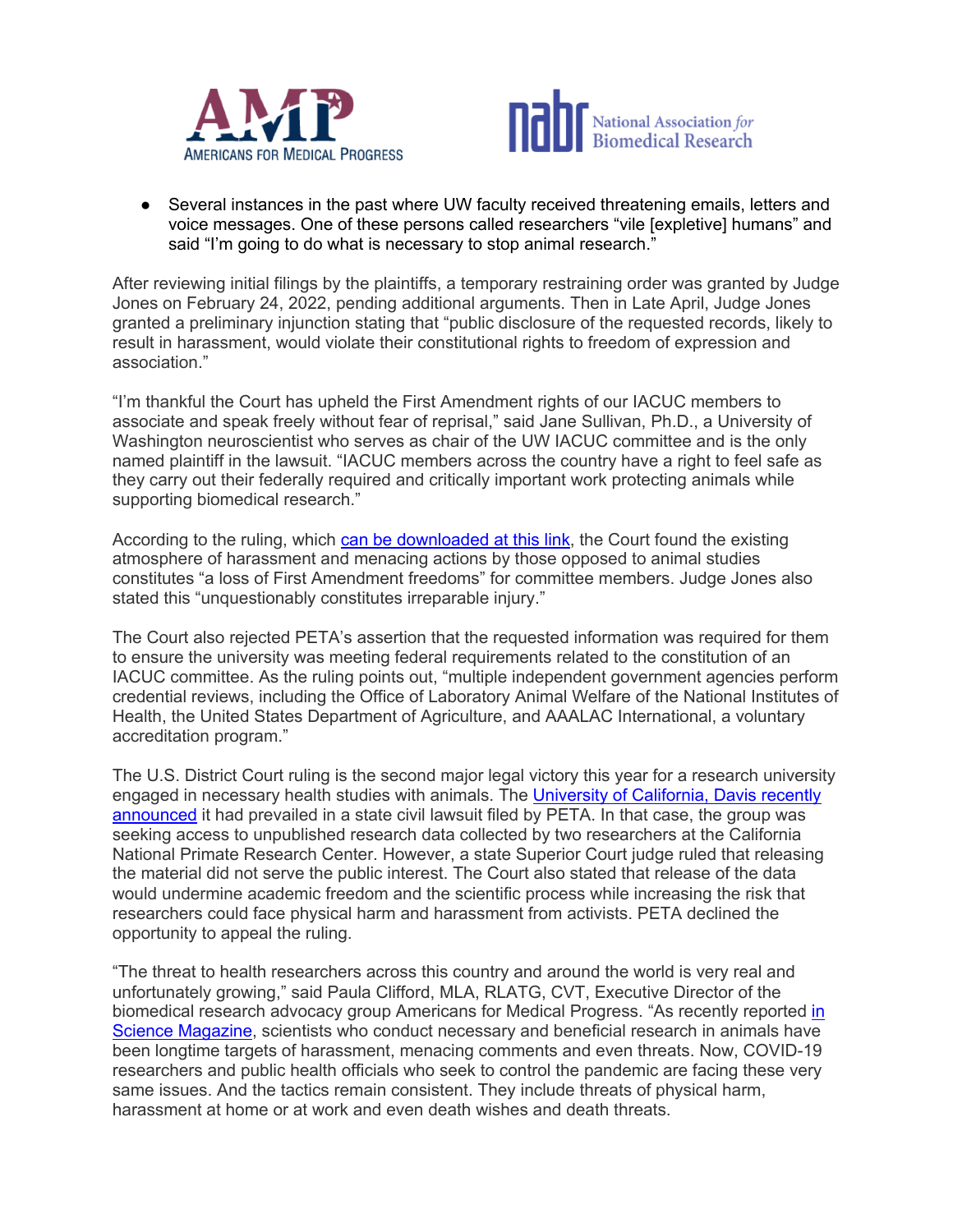



● Several instances in the past where UW faculty received threatening emails, letters and voice messages. One of these persons called researchers "vile [expletive] humans" and said "I'm going to do what is necessary to stop animal research."

After reviewing initial filings by the plaintiffs, a temporary restraining order was granted by Judge Jones on February 24, 2022, pending additional arguments. Then in Late April, Judge Jones granted a preliminary injunction stating that "public disclosure of the requested records, likely to result in harassment, would violate their constitutional rights to freedom of expression and association."

"I'm thankful the Court has upheld the First Amendment rights of our IACUC members to associate and speak freely without fear of reprisal," said Jane Sullivan, Ph.D., a University of Washington neuroscientist who serves as chair of the UW IACUC committee and is the only named plaintiff in the lawsuit. "IACUC members across the country have a right to feel safe as they carry out their federally required and critically important work protecting animals while supporting biomedical research."

According to the ruling, which can be downloaded at this link, the Court found the existing atmosphere of harassment and menacing actions by those opposed to animal studies constitutes "a loss of First Amendment freedoms" for committee members. Judge Jones also stated this "unquestionably constitutes irreparable injury."

The Court also rejected PETA's assertion that the requested information was required for them to ensure the university was meeting federal requirements related to the constitution of an IACUC committee. As the ruling points out, "multiple independent government agencies perform credential reviews, including the Office of Laboratory Animal Welfare of the National Institutes of Health, the United States Department of Agriculture, and AAALAC International, a voluntary accreditation program."

The U.S. District Court ruling is the second major legal victory this year for a research university engaged in necessary health studies with animals. The University of California, Davis recently announced it had prevailed in a state civil lawsuit filed by PETA. In that case, the group was seeking access to unpublished research data collected by two researchers at the California National Primate Research Center. However, a state Superior Court judge ruled that releasing the material did not serve the public interest. The Court also stated that release of the data would undermine academic freedom and the scientific process while increasing the risk that researchers could face physical harm and harassment from activists. PETA declined the opportunity to appeal the ruling.

"The threat to health researchers across this country and around the world is very real and unfortunately growing," said Paula Clifford, MLA, RLATG, CVT, Executive Director of the biomedical research advocacy group Americans for Medical Progress. "As recently reported in Science Magazine, scientists who conduct necessary and beneficial research in animals have been longtime targets of harassment, menacing comments and even threats. Now, COVID-19 researchers and public health officials who seek to control the pandemic are facing these very same issues. And the tactics remain consistent. They include threats of physical harm, harassment at home or at work and even death wishes and death threats.